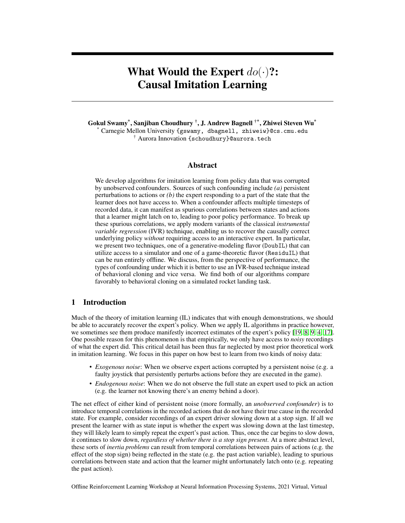# What Would the Expert  $do(\cdot)$ ?: Causal Imitation Learning

Gokul Swamy\* , Sanjiban Choudhury † , J. Andrew Bagnell †\*, Zhiwei Steven Wu\* \* Carnegie Mellon University {gswamy, dbagnell, zhiweiw}@cs.cmu.edu † Aurora Innovation {schoudhury}@aurora.tech

# Abstract

We develop algorithms for imitation learning from policy data that was corrupted by unobserved confounders. Sources of such confounding include *(a)* persistent perturbations to actions or *(b)* the expert responding to a part of the state that the learner does not have access to. When a confounder affects multiple timesteps of recorded data, it can manifest as spurious correlations between states and actions that a learner might latch on to, leading to poor policy performance. To break up these spurious correlations, we apply modern variants of the classical *instrumental variable regression* (IVR) technique, enabling us to recover the causally correct underlying policy *without* requiring access to an interactive expert. In particular, we present two techniques, one of a generative-modeling flavor (DoubIL) that can utilize access to a simulator and one of a game-theoretic flavor (ResiduIL) that can be run entirely offline. We discuss, from the perspective of performance, the types of confounding under which it is better to use an IVR-based technique instead of behavioral cloning and vice versa. We find both of our algorithms compare favorably to behavioral cloning on a simulated rocket landing task.

# 1 Introduction

Much of the theory of imitation learning (IL) indicates that with enough demonstrations, we should be able to accurately recover the expert's policy. When we apply IL algorithms in practice however, we sometimes see them produce manifestly incorrect estimates of the expert's policy [\[19,](#page-9-0) [8,](#page-9-1) [9,](#page-9-2) [4,](#page-9-3) [17\]](#page-9-4). One possible reason for this phenomenon is that empirically, we only have access to *noisy* recordings of what the expert did. This critical detail has been thus far neglected by most prior theoretical work in imitation learning. We focus in this paper on how best to learn from two kinds of noisy data:

- *Exogenous noise*: When we observe expert actions corrupted by a persistent noise (e.g. a faulty joystick that persistently perturbs actions before they are executed in the game).
- *Endogenous noise*: When we do not observe the full state an expert used to pick an action (e.g. the learner not knowing there's an enemy behind a door).

The net effect of either kind of persistent noise (more formally, an *unobserved confounder*) is to introduce temporal correlations in the recorded actions that do not have their true cause in the recorded state. For example, consider recordings of an expert driver slowing down at a stop sign. If all we present the learner with as state input is whether the expert was slowing down at the last timestep, they will likely learn to simply repeat the expert's past action. Thus, once the car begins to slow down, it continues to slow down, *regardless of whether there is a stop sign present*. At a more abstract level, these sorts of *inertia problems* can result from temporal correlations between pairs of actions (e.g. the effect of the stop sign) being reflected in the state (e.g. the past action variable), leading to spurious correlations between state and action that the learner might unfortunately latch onto (e.g. repeating the past action).

Offline Reinforcement Learning Workshop at Neural Information Processing Systems, 2021 Virtual, Virtual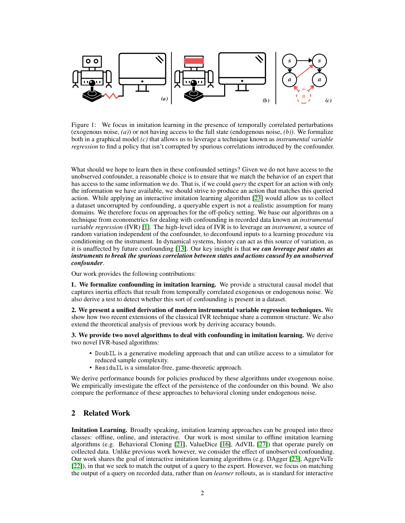

Figure 1: We focus in imitation learning in the presence of temporally correlated perturbations (exogenous noise, *(a)*) or not having access to the full state (endogenous noise, *(b)*). We formalize both in a graphical model *(c)* that allows us to leverage a technique known as *instrumental variable regression* to find a policy that isn't corrupted by spurious correlations introduced by the confounder.

What should we hope to learn then in these confounded settings? Given we do not have access to the unobserved confounder, a reasonable choice is to ensure that we match the behavior of an expert that has access to the same information we do. That is, if we could *query* the expert for an action with only the information we have available, we should strive to produce an action that matches this queried action. While applying an interactive imitation learning algorithm [\[23\]](#page-10-0) would allow us to collect a dataset uncorrupted by confounding, a queryable expert is not a realistic assumption for many domains. We therefore focus on approaches for the off-policy setting. We base our algorithms on a technique from econometrics for dealing with confounding in recorded data known an *instrumental variable regression* (IVR) [\[1\]](#page-9-5). The high-level idea of IVR is to leverage an *instrument*, a source of random variation independent of the confounder, to deconfound inputs to a learning procedure via conditioning on the instrument. In dynamical systems, history can act as this source of variation, as it is unaffected by future confounding [\[13\]](#page-9-6). Our key insight is that *we can leverage past states as instruments to break the spurious correlation between states and actions caused by an unobserved confounder*.

Our work provides the following contributions:

1. We formalize confounding in imitation learning. We provide a structural causal model that captures inertia effects that result from temporally correlated exogenous or endogenous noise. We also derive a test to detect whether this sort of confounding is present in a dataset.

2. We present a unified derivation of modern instrumental variable regression techniques. We show how two recent extensions of the classical IVR technique share a common structure. We also extend the theoretical analysis of previous work by deriving accuracy bounds.

3. We provide two novel algorithms to deal with confounding in imitation learning. We derive two novel IVR-based algorithms:

- DoubIL is a generative modeling approach that and can utilize access to a simulator for reduced sample complexity.
- ResiduIL is a simulator-free, game-theoretic approach.

We derive performance bounds for policies produced by these algorithms under exogenous noise. We empirically investigate the effect of the persistence of the confounder on this bound. We also compare the performance of these approaches to behavioral cloning under endogenous noise.

# 2 Related Work

Imitation Learning. Broadly speaking, imitation learning approaches can be grouped into three classes: offline, online, and interactive. Our work is most similar to offline imitation learning algorithms (e.g. Behavioral Cloning [\[21\]](#page-9-7), ValueDice [\[16\]](#page-9-8), AdVIL [\[27\]](#page-10-1)) that operate purely on collected data. Unlike previous work however, we consider the effect of unobserved confounding. Our work shares the goal of interactive imitation learning algorithms (e.g. DAgger [\[23\]](#page-10-0), AggreVaTe [\[22\]](#page-9-9)), in that we seek to match the output of a query to the expert. However, we focus on matching the output of a query on recorded data, rather than on *learner* rollouts, as is standard for interactive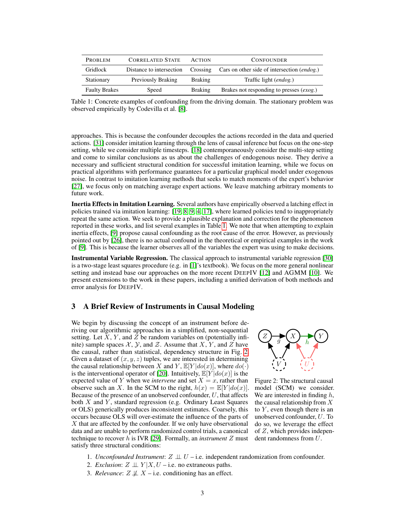| PROBLEM              | <b>CORRELATED STATE</b>   | <b>ACTION</b>  | <b>CONFOUNDER</b>                           |
|----------------------|---------------------------|----------------|---------------------------------------------|
| Gridlock             | Distance to intersection  | Crossing       | Cars on other side of intersection (endog.) |
| Stationary           | <b>Previously Braking</b> | <b>Braking</b> | Traffic light (endog.)                      |
| <b>Faulty Brakes</b> | Speed                     | Braking        | Brakes not responding to presses (exog.)    |

<span id="page-2-0"></span>Table 1: Concrete examples of confounding from the driving domain. The stationary problem was observed empirically by Codevilla et al. [\[8\]](#page-9-1).

approaches. This is because the confounder decouples the actions recorded in the data and queried actions. [\[31\]](#page-10-2) consider imitation learning through the lens of causal inference but focus on the one-step setting, while we consider multiple timesteps. [\[18\]](#page-9-10) contemporaneously consider the multi-step setting and come to similar conclusions as us about the challenges of endogenous noise. They derive a necessary and sufficient structural condition for successful imitation learning, while we focus on practical algorithms with performance guarantees for a particular graphical model under exogenous noise. In contrast to imitation learning methods that seeks to match moments of the expert's behavior [\[27\]](#page-10-1), we focus only on matching average expert actions. We leave matching arbitrary moments to future work.

Inertia Effects in Imitation Learning. Several authors have empirically observed a latching effect in policies trained via imitation learning: [\[19,](#page-9-0) [8,](#page-9-1) [9,](#page-9-2) [4,](#page-9-3) [17\]](#page-9-4), where learned policies tend to inappropriately repeat the same action. We seek to provide a plausible explanation and correction for the phenomenon reported in these works, and list several examples in Table [1.](#page-2-0) We note that when attempting to explain inertia effects, [\[9\]](#page-9-2) propose causal confounding as the root cause of the error. However, as previously pointed out by [\[26\]](#page-10-3), there is no actual confound in the theoretical or empirical examples in the work of [\[9\]](#page-9-2). This is because the learner observes all of the variables the expert was using to make decisions.

Instrumental Variable Regression. The classical approach to instrumental variable regression [\[30\]](#page-10-4) is a two-stage least squares procedure (e.g. in [\[1\]](#page-9-5)'s textbook). We focus on the more general nonlinear setting and instead base our approaches on the more recent DEEPIV [\[12\]](#page-9-11) and AGMM [\[10\]](#page-9-12). We present extensions to the work in these papers, including a unified derivation of both methods and error analysis for DEEPIV.

# <span id="page-2-2"></span>3 A Brief Review of Instruments in Causal Modeling

We begin by discussing the concept of an instrument before deriving our algorithmic approaches in a simplified, non-sequential setting. Let  $X$ ,  $Y$ , and  $Z$  be random variables on (potentially infinite) sample spaces  $X$ ,  $Y$ , and  $Z$ . Assume that  $X$ ,  $Y$ , and  $Z$  have the causal, rather than statistical, dependency structure in Fig. [2.](#page-2-1) Given a dataset of  $(x, y, z)$  tuples, we are interested in determining the causal relationship between X and Y,  $\mathbb{E}[Y|do(x)]$ , where  $do(\cdot)$ is the interventional operator of [\[20\]](#page-9-13). Intuitively,  $\mathbb{E}[Y|do(x)]$  is the expected value of Y when we *intervene* and set  $X = x$ , rather than observe such an X. In the SCM to the right,  $h(x) = \mathbb{E}[Y|do(x)]$ . Because of the presence of an unobserved confounder,  $U$ , that affects both  $X$  and  $Y$ , standard regression (e.g. Ordinary Least Squares or OLS) generically produces inconsistent estimates. Coarsely, this occurs because OLS will over-estimate the influence of the parts of  $X$  that are affected by the confounder. If we only have observational data and are unable to perform randomized control trials, a canonical technique to recover h is IVR [\[29\]](#page-10-5). Formally, an *instrument* Z must satisfy three structural conditions:



<span id="page-2-1"></span>Figure 2: The structural causal model (SCM) we consider. We are interested in finding  $h$ , the causal relationship from X to  $Y$ , even though there is an unobserved confounder, U. To do so, we leverage the effect of  $Z$ , which provides independent randomness from U.

- 1. *Unconfounded Instrument*: Z ⊥⊥ U i.e. independent randomization from confounder.
- 2. *Exclusion*:  $Z \perp \!\!\!\perp Y | X, U$  i.e. no extraneous paths.
- 3. *Relevance*:  $Z \not\perp X$  i.e. conditioning has an effect.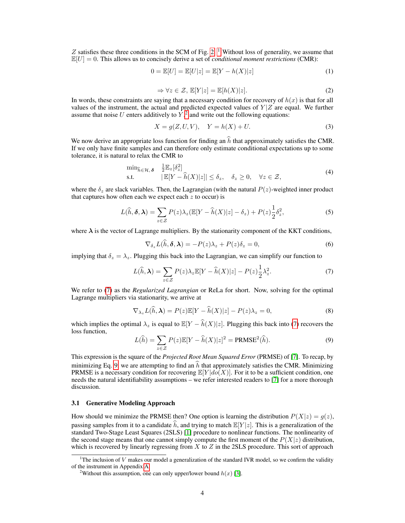Z satisfies these three conditions in the SCM of Fig. [2.](#page-2-1) <sup>[1](#page-3-0)</sup> Without loss of generality, we assume that  $\mathbb{E}[U] = 0$ . This allows us to concisely derive a set of *conditional moment restrictions* (CMR):

$$
0 = \mathbb{E}[U] = \mathbb{E}[U|z] = \mathbb{E}[Y - h(X)|z]
$$
 (1)

$$
\Rightarrow \forall z \in \mathcal{Z}, \, \mathbb{E}[Y|z] = \mathbb{E}[h(X)|z]. \tag{2}
$$

In words, these constraints are saying that a necessary condition for recovery of  $h(x)$  is that for all values of the instrument, the actual and predicted expected values of  $Y/Z$  are equal. We further assume that noise U enters additively to  $\overline{Y}^2$  $\overline{Y}^2$ , and write out the following equations:

$$
X = g(Z, U, V), \quad Y = h(X) + U.
$$
 (3)

We now derive an appropriate loss function for finding an  $\hat{h}$  that approximately satisfies the CMR. If we only have finite samples and can therefore only estimate conditional expectations up to some tolerance, it is natural to relax the CMR to

$$
\min_{\widehat{h}\in\mathcal{H},\delta} \quad \frac{1}{2} \mathbb{E}_z[\delta_z^2] \n\text{s.t.} \quad |\mathbb{E}[Y - \widehat{h}(X)|z]| \le \delta_z, \quad \delta_z \ge 0, \quad \forall z \in \mathcal{Z},
$$
\n(4)

where the  $\delta_z$  are slack variables. Then, the Lagrangian (with the natural  $P(z)$ -weighted inner product that captures how often each we expect each  $z$  to occur) is

$$
L(\widehat{h}, \delta, \lambda) = \sum_{z \in \mathcal{Z}} P(z) \lambda_z (\mathbb{E}[Y - \widehat{h}(X)|z] - \delta_z) + P(z) \frac{1}{2} \delta_z^2,
$$
 (5)

where  $\lambda$  is the vector of Lagrange multipliers. By the stationarity component of the KKT conditions,

<span id="page-3-2"></span>
$$
\nabla_{\delta_z} L(\hat{h}, \delta, \lambda) = -P(z)\lambda_z + P(z)\delta_z = 0, \tag{6}
$$

implying that  $\delta_z = \lambda_z$ . Plugging this back into the Lagrangian, we can simplify our function to

$$
L(\widehat{h}, \lambda) = \sum_{z \in \mathcal{Z}} P(z) \lambda_z \mathbb{E}[Y - \widehat{h}(X)|z] - P(z) \frac{1}{2} \lambda_z^2.
$$
 (7)

We refer to [\(7\)](#page-3-2) as the *Regularized Lagrangian* or ReLa for short. Now, solving for the optimal Lagrange multipliers via stationarity, we arrive at

$$
\nabla_{\lambda_z} L(\hat{h}, \lambda) = P(z) \mathbb{E}[Y - \hat{h}(X)|z] - P(z)\lambda_z = 0,
$$
\n(8)

which implies the optimal  $\lambda_z$  is equal to  $\mathbb{E}[Y - \hat{h}(X)|z]$ . Plugging this back into [\(7\)](#page-3-2) recovers the loss function,

<span id="page-3-3"></span>
$$
L(\widehat{h}) = \sum_{z \in \mathcal{Z}} P(z) \mathbb{E}[Y - \widehat{h}(X)|z]^2 = \text{PRMSE}^2(\widehat{h}).\tag{9}
$$

This expression is the square of the *Projected Root Mean Squared Error* (PRMSE) of [\[7\]](#page-9-14). To recap, by minimizing Eq. [9,](#page-3-3) we are attempting to find an  $\hat{h}$  that approximately satisfies the CMR. Minimizing PRMSE is a necessary condition for recovering  $\mathbb{E}[Y|do(X)]$ . For it to be a sufficient condition, one needs the natural identifiability assumptions – we refer interested readers to [\[7\]](#page-9-14) for a more thorough discussion.

## 3.1 Generative Modeling Approach

How should we minimize the PRMSE then? One option is learning the distribution  $P(X|z) = q(z)$ , passing samples from it to a candidate  $\hat{h}$ , and trying to match  $\mathbb{E}[Y | z]$ . This is a generalization of the standard Two-Stage Least Squares (2SLS) [\[1\]](#page-9-5) procedure to nonlinear functions. The nonlinearity of the second stage means that one cannot simply compute the first moment of the  $P(X|z)$  distribution, which is recovered by linearly regressing from  $X$  to  $Z$  in the 2SLS procedure. This sort of approach

<span id="page-3-0"></span><sup>&</sup>lt;sup>1</sup>The inclusion of V makes our model a generalization of the standard IVR model, so we confirm the validity of the instrument in Appendix [A.](#page-11-0)

<span id="page-3-1"></span><sup>&</sup>lt;sup>2</sup>Without this assumption, one can only upper/lower bound  $h(x)$  [\[3\]](#page-9-15).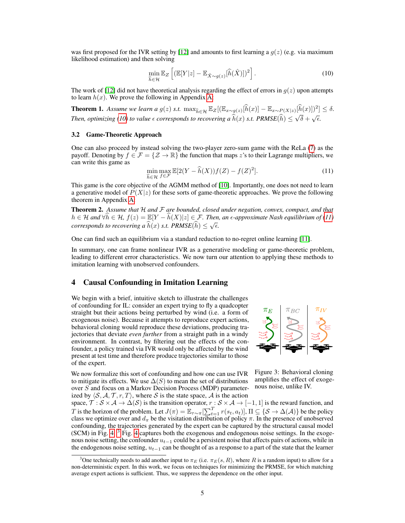was first proposed for the IVR setting by [\[12\]](#page-9-11) and amounts to first learning a  $q(z)$  (e.g. via maximum likelihood estimation) and then solving

<span id="page-4-0"></span>
$$
\min_{\hat{h}\in\mathcal{H}} \mathbb{E}_Z \left[ (\mathbb{E}[Y|z] - \mathbb{E}_{\hat{X}\sim g(z)}[\hat{h}(\hat{X})])^2 \right].
$$
\n(10)

The work of [\[12\]](#page-9-11) did not have theoretical analysis regarding the effect of errors in  $g(z)$  upon attempts to learn  $h(x)$ . We prove the following in Appendix [A:](#page-11-0)

<span id="page-4-3"></span>**Theorem 1.** Assume we learn a  $g(z)$  s.t.  $\max_{\widehat{h}\in\mathcal{H}} \mathbb{E}_Z[(\mathbb{E}_{x\sim g(z)}[\widehat{h}(x)] - \mathbb{E}_{x\sim P(X|z)}[\widehat{h}(x)]^2] \leq \delta.$ *Then, optimizing [\(10\)](#page-4-0) to value*  $\epsilon$  *corresponds to recovering a*  $\widehat{h}(x)$  *s.t. PRMSE* $(\widehat{h}) \leq \sqrt{\delta} + \sqrt{\epsilon}$ .

## 3.2 Game-Theoretic Approach

One can also proceed by instead solving the two-player zero-sum game with the ReLa [\(7\)](#page-3-2) as the payoff. Denoting by  $f \in \mathcal{F} = \{Z \to \mathbb{R}\}\$  the function that maps z's to their Lagrange multipliers, we can write this game as

<span id="page-4-1"></span>
$$
\min_{\hat{h}\in\mathcal{H}} \max_{f\in\mathcal{F}} \mathbb{E}[2(Y-\hat{h}(X))f(Z)-f(Z)^{2}].\tag{11}
$$

This game is the core objective of the AGMM method of [\[10\]](#page-9-12). Importantly, one does not need to learn a generative model of  $P(X|z)$  for these sorts of game-theoretic approaches. We prove the following theorem in Appendix [A:](#page-11-0)

<span id="page-4-4"></span>Theorem 2. *Assume that* H *and* F *are bounded, closed under negation, convex, compact, and that*  $h \in \mathcal{H}$  and  $\forall h \in \mathcal{H}$ ,  $f(z) = \mathbb{E}[Y - \hat{h}(X)|z] \in \mathcal{F}$ . Then, an  $\epsilon$ -approximate Nash equilibrium of [\(11\)](#page-4-1) *corresponds to recovering a*  $\widehat{h}(x)$  *s.t.*  $PRMSE(\widehat{h}) \leq \sqrt{\epsilon}$ .

One can find such an equilibrium via a standard reduction to no-regret online learning [\[11\]](#page-9-16).

In summary, one can frame nonlinear IVR as a generative modeling or game-theoretic problem, leading to different error characteristics. We now turn our attention to applying these methods to imitation learning with unobserved confounders.

# 4 Causal Confounding in Imitation Learning

We begin with a brief, intuitive sketch to illustrate the challenges of confounding for IL: consider an expert trying to fly a quadcopter straight but their actions being perturbed by wind (i.e. a form of exogenous noise). Because it attempts to reproduce expert actions, behavioral cloning would reproduce these deviations, producing trajectories that deviate *even further* from a straight path in a windy environment. In contrast, by filtering out the effects of the confounder, a policy trained via IVR would only be affected by the wind present at test time and therefore produce trajectories similar to those of the expert.



We now formalize this sort of confounding and how one can use IVR to mitigate its effects. We use  $\Delta(S)$  to mean the set of distributions over S and focus on a Markov Decision Process (MDP) parameterized by  $\langle S, A, T, r, T \rangle$ , where S is the state space, A is the action

Figure 3: Behavioral cloning amplifies the effect of exogenous noise, unlike IV.

space,  $\mathcal{T}: \mathcal{S} \times \mathcal{A} \to \Delta(\mathcal{S})$  is the transition operator,  $r : \mathcal{S} \times \mathcal{A} \to [-1,1]$  is the reward function, and T is the horizon of the problem. Let  $J(\pi) = \mathbb{E}_{\tau \sim \pi}[\sum_{t=1}^T r(s_t, a_t)], \Pi \subseteq \{S \to \Delta(\mathcal{A})\}$  be the policy class we optimize over and  $d_{\pi}$  be the visitation distribution of policy  $\pi$ . In the presence of unobserved confounding, the trajectories generated by the expert can be captured by the structural causal model (SCM) in Fig. [4.](#page-5-0) [3](#page-4-2) Fig. [4](#page-5-0) captures both the exogenous and endogenous noise settings. In the exogenous noise setting, the confounder  $u_{t-1}$  could be a persistent noise that affects pairs of actions, while in the endogenous noise setting,  $u_{t-1}$  can be thought of as a response to a part of the state that the learner

<span id="page-4-2"></span><sup>&</sup>lt;sup>3</sup>One technically needs to add another input to  $\pi_E$  (i.e.  $\pi_E(s, R)$ , where R is a random input) to allow for a non-deterministic expert. In this work, we focus on techniques for minimizing the PRMSE, for which matching average expert actions is sufficient. Thus, we suppress the dependence on the other input.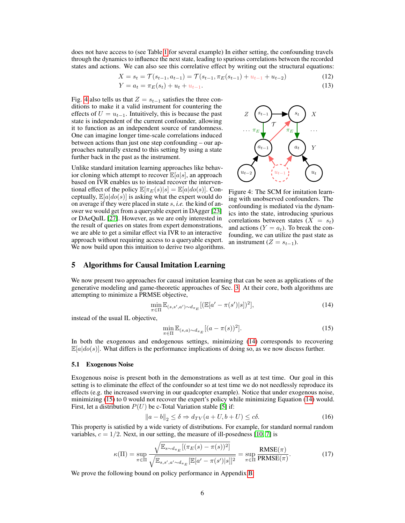does not have access to (see Table [1](#page-2-0) for several example) In either setting, the confounding travels through the dynamics to influence the next state, leading to spurious correlations between the recorded states and actions. We can also see this correlative effect by writing out the structural equations:

$$
X = s_t = \mathcal{T}(s_{t-1}, a_{t-1}) = \mathcal{T}(s_{t-1}, \pi_E(s_{t-1}) + u_{t-1} + u_{t-2})
$$
\n(12)

$$
Y = a_t = \pi_E(s_t) + u_t + u_{t-1}.
$$
\n(13)

Fig. [4](#page-5-0) also tells us that  $Z = s_{t-1}$  satisfies the three conditions to make it a valid instrument for countering the effects of  $U = u_{t-1}$ . Intuitively, this is because the past state is independent of the current confounder, allowing it to function as an independent source of randomness. One can imagine longer time-scale correlations induced between actions than just one step confounding – our approaches naturally extend to this setting by using a state further back in the past as the instrument.

Unlike standard imitation learning approaches like behavior cloning which attempt to recover  $\mathbb{E}[a|s]$ , an approach based on IVR enables us to instead recover the interventional effect of the policy  $\mathbb{E}[\pi_E(s)|s] = \mathbb{E}[a|do(s)]$ . Conceptually,  $\mathbb{E}[a|do(s)]$  is asking what the expert would do on average if they were placed in state s, *i.e.* the kind of answer we would get from a queryable expert in DAgger [\[23\]](#page-10-0) or DAeQuIL [\[27\]](#page-10-1). However, as we are only interested in the result of queries on states from expert demonstrations, we are able to get a similar effect via IVR to an interactive approach without requiring access to a queryable expert. We now build upon this intuition to derive two algorithms.



<span id="page-5-0"></span>Figure 4: The SCM for imitation learning with unobserved confounders. The confounding is mediated via the dynamics into the state, introducing spurious correlations between states  $(X = s_t)$ and actions ( $Y = a_t$ ). To break the confounding, we can utilize the past state as an instrument ( $Z = s_{t-1}$ ).

# 5 Algorithms for Causal Imitation Learning

We now present two approaches for causal imitation learning that can be seen as applications of the generative modeling and game-theoretic approaches of Sec. [3.](#page-2-2) At their core, both algorithms are attempting to minimize a PRMSE objective,

<span id="page-5-1"></span>
$$
\min_{\pi \in \Pi} \mathbb{E}_{(s, s', a') \sim d_{\pi_E}} [(\mathbb{E}[a' - \pi(s')|s])^2],\tag{14}
$$

instead of the usual IL objective,

<span id="page-5-2"></span>
$$
\min_{\pi \in \Pi} \mathbb{E}_{(s,a) \sim d_{\pi_E}}[(a - \pi(s))^2].
$$
\n(15)

In both the exogenous and endogenous settings, minimizing [\(14\)](#page-5-1) corresponds to recovering  $\mathbb{E}[a|do(s)]$ . What differs is the performance implications of doing so, as we now discuss further.

#### 5.1 Exogenous Noise

Exogenous noise is present both in the demonstrations as well as at test time. Our goal in this setting is to eliminate the effect of the confounder so at test time we do not needlessly reproduce its effects (e.g. the increased swerving in our quadcopter example). Notice that under exogenous noise, minimizing [\(15\)](#page-5-2) to 0 would not recover the expert's policy while minimizing Equation [\(14\)](#page-5-1) would. First, let a distribution  $P(U)$  be c-Total Variation stable [\[5\]](#page-9-17) if:

$$
||a - b||_2 \le \delta \Rightarrow d_{TV}(a + U, b + U) \le c\delta.
$$
 (16)

This property is satisfied by a wide variety of distributions. For example, for standard normal random variables,  $c = 1/2$ . Next, in our setting, the measure of ill-posedness [\[10,](#page-9-12) [7\]](#page-9-14) is

$$
\kappa(\Pi) = \sup_{\pi \in \Pi} \frac{\sqrt{\mathbb{E}_{s \sim d_{\pi_E}}[(\pi_E(s) - \pi(s))^2]}}{\sqrt{\mathbb{E}_{s, s', a' \sim d_{\pi_E}}[\mathbb{E}[a' - \pi(s')]s]]^2}} = \sup_{\pi \in \Pi} \frac{\text{RMSE}(\pi)}{\text{PRMSE}(\pi)}.
$$
\n(17)

We prove the following bound on policy performance in Appendix [B:](#page-14-0)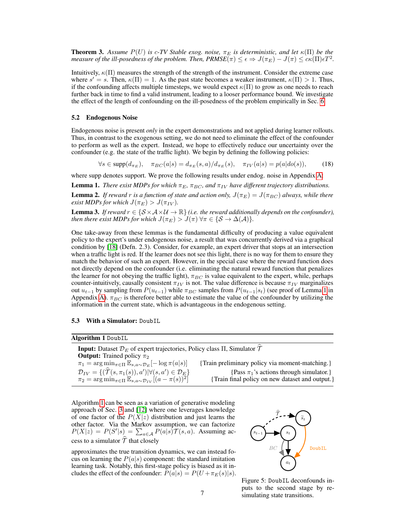<span id="page-6-2"></span>**Theorem 3.** Assume  $P(U)$  is c-TV Stable exog. noise,  $\pi_E$  is deterministic, and let  $\kappa(\Pi)$  be the *measure of the ill-posedness of the problem. Then,*  $PRMSE(\pi) \leq \epsilon \Rightarrow J(\pi_E) - J(\pi) \leq c\kappa(\Pi)\epsilon T^2$ *.* 

Intuitively,  $\kappa(\Pi)$  measures the strength of the strength of the instrument. Consider the extreme case where  $s' = s$ . Then,  $\kappa(\Pi) = 1$ . As the past state becomes a weaker instrument,  $\kappa(\Pi) > 1$ . Thus, if the confounding affects multiple timesteps, we would expect  $\kappa(\Pi)$  to grow as one needs to reach further back in time to find a valid instrument, leading to a looser performance bound. We investigate the effect of the length of confounding on the ill-posedness of the problem empirically in Sec. [6.](#page-7-0)

#### 5.2 Endogenous Noise

Endogenous noise is present *only* in the expert demonstrations and not applied during learner rollouts. Thus, in contrast to the exogenous setting, we do not need to eliminate the effect of the confounder to perform as well as the expert. Instead, we hope to effectively reduce our uncertainty over the confounder (e.g. the state of the traffic light). We begin by defining the following policies:

 $\forall s \in \text{supp}(d_{\pi_E}), \quad \pi_{BC}(a|s) = d_{\pi_E}(s, a)/d_{\pi_E}(s), \quad \pi_{IV}(a|s) = p(a|do(s)),$  (18)

where supp denotes support. We prove the following results under endog. noise in Appendix [A:](#page-11-0)

<span id="page-6-0"></span>**Lemma 1.** *There exist MDPs for which*  $\pi_E$ ,  $\pi_{BC}$ , and  $\pi_{IV}$  *have different trajectory distributions.* 

<span id="page-6-3"></span>**Lemma 2.** If reward r is a function of state and action only,  $J(\pi_E) = J(\pi_{BC})$  always, while there *exist MDPs for which*  $J(\pi_E) > J(\pi_{IV})$ *.* 

<span id="page-6-4"></span>**Lemma 3.** *If reward*  $r \in \{S \times A \times U \rightarrow \mathbb{R}\}$  *(i.e. the reward additionally depends on the confounder), then there exist MDPs for which*  $J(\pi_E) > J(\pi)$   $\forall \pi \in \{S \rightarrow \Delta(\mathcal{A})\}.$ 

One take-away from these lemmas is the fundamental difficulty of producing a value equivalent policy to the expert's under endogenous noise, a result that was concurrently derived via a graphical condition by [\[18\]](#page-9-10) (Defn. 2.3). Consider, for example, an expert driver that stops at an intersection when a traffic light is red. If the learner does not see this light, there is no way for them to ensure they match the behavior of such an expert. However, in the special case where the reward function does not directly depend on the confounder (i.e. eliminating the natural reward function that penalizes the learner for not obeying the traffic light),  $\pi_{BC}$  is value equivalent to the expert, while, perhaps counter-intuitively, causally consistent  $\pi_{IV}$  is not. The value difference is because  $\pi_{IV}$  marginalizes out  $u_{t-1}$  by sampling from  $P(u_{t-1})$  while  $\pi_{BC}$  samples from  $P(u_{t-1}|s_t)$  (see proof of Lemma [1](#page-6-0) in Appendix [A\)](#page-11-0).  $\pi_{BC}$  is therefore better able to estimate the value of the confounder by utilizing the information in the current state, which is advantageous in the endogenous setting.

#### 5.3 With a Simulator: DoubIL

Algorithm 1 DoubIL

| <b>Input:</b> Dataset $\mathcal{D}_E$ of expert trajectories, Policy class $\Pi$ , Simulator $\mathcal T$ |                                                 |  |  |  |
|-----------------------------------------------------------------------------------------------------------|-------------------------------------------------|--|--|--|
| <b>Output:</b> Trained policy $\pi_2$                                                                     |                                                 |  |  |  |
| $\pi_1 = \arg \min_{\pi \in \Pi} \mathbb{E}_{s,a \sim \mathcal{D}_E}[-\log \pi(a s)]$                     | {Train preliminary policy via moment-matching.} |  |  |  |
| $\mathcal{D}_{IV} = \{(\mathcal{T}(s, \pi_1(s)), a')   \forall (s, a') \in \mathcal{D}_E\}$               | {Pass $\pi_1$ 's actions through simulator.}    |  |  |  |
| $\pi_2 = \arg \min_{\pi \in \Pi} \mathbb{E}_{s,a \sim \mathcal{D}_{IV}}[(a - \pi(s))^2]$                  | {Train final policy on new dataset and output.} |  |  |  |
|                                                                                                           |                                                 |  |  |  |

<span id="page-6-1"></span>Algorithm [1](#page-6-1) can be seen as a variation of generative modeling approach of Sec. [3](#page-2-2) and [\[12\]](#page-9-11) where one leverages knowledge of one factor of the  $P(X|z)$  distribution and just learns the other factor. Via the Markov assumption, we can factorize  $P(X|z) = P(S'|s) = \sum_{a \in A} P(a|s) \mathcal{T}(s, a)$ . Assuming access to a simulator  $\hat{\mathcal{T}}$  that closely

approximates the true transition dynamics, we can instead focus on learning the  $P(a|s)$  component: the standard imitation learning task. Notably, this first-stage policy is biased as it includes the effect of the confounder:  $P(a|s) = P(U + \pi_E(s)|s)$ .



Figure 5: DoubIL deconfounds inputs to the second stage by resimulating state transitions.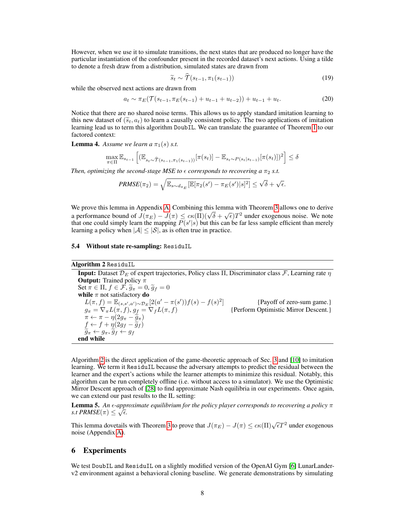However, when we use it to simulate transitions, the next states that are produced no longer have the particular instantiation of the confounder present in the recorded dataset's next actions. Using a tilde to denote a fresh draw from a distribution, simulated states are drawn from

$$
\widetilde{s}_t \sim \widehat{T}(s_{t-1}, \pi_1(s_{t-1})) \tag{19}
$$

while the observed next actions are drawn from

$$
a_t \sim \pi_E(\mathcal{T}(s_{t-1}, \pi_E(s_{t-1}) + u_{t-1} + u_{t-2})) + u_{t-1} + u_t.
$$
 (20)

Notice that there are no shared noise terms. This allows us to apply standard imitation learning to this new dataset of  $(\tilde{s}_t, a_t)$  to learn a causally consistent policy. The two applications of imitation learning lead us to term this algorithm DoubIL. We can translate the guarantee of Theorem [1](#page-4-3) to our factored context:

<span id="page-7-2"></span>**Lemma 4.** Assume we learn a  $\pi_1(s)$  *s.t.* 

$$
\max_{\pi \in \Pi} \mathbb{E}_{s_{t-1}} \left[ (\mathbb{E}_{s_t \sim \hat{\mathcal{T}}(s_{t-1}, \pi_1(s_{t-1}))} [\pi(s_t)] - \mathbb{E}_{s_t \sim P(s_t | s_{t-1})} [\pi(s_t)])^2 \right] \le \delta
$$

*Then, optimizing the second-stage MSE to*  $\epsilon$  *corresponds to recovering a*  $\pi_2$  *s.t.* 

$$
PRMSE(\pi_2) = \sqrt{\mathbb{E}_{s \sim d_{\pi_E}}[\mathbb{E}[\pi_2(s') - \pi_E(s')|s]^2]} \leq \sqrt{\delta} + \sqrt{\epsilon}.
$$

We prove this lemma in Appendix [A.](#page-11-0) Combining this lemma with Theorem [3](#page-6-2) allows one to derive a performance bound of  $J(\pi_E) - J(\pi) \leq c \kappa(\Pi)(\sqrt{\delta} + \sqrt{\epsilon})T^2$  under exogenous noise. We note that one could simply learn the mapping  $P(s'|s)$  but this can be far less sample efficient than merely learning a policy when  $|\mathcal{A}| \leq |\mathcal{S}|$ , as is often true in practice.

## 5.4 Without state re-sampling: ResiduIL

| Algorithm 2 ResiduIL |
|----------------------|

**Input:** Dataset  $\mathcal{D}_E$  of expert trajectories, Policy class  $\Pi$ , Discriminator class  $\mathcal{F}$ , Learning rate  $\eta$ **Output:** Trained policy  $\pi$ Set  $\pi \in \Pi$ ,  $f \in \mathcal{F}$ ,  $\widetilde{g}_{\pi} = 0$ ,  $\widetilde{g}_f = 0$ <br>while  $\pi$  not satisfactory **do**  $L(\pi, f) = \mathbb{E}_{(s, s', a') \sim \mathcal{D}_E} [2(a' - \pi(s'))f(s) - f(s)^2]$  {Payoff of zero-sum game.}  $g_{\pi} = \nabla_{\pi} L(\pi, f), g_{\underline{f}} = \nabla_{f} L(\pi, f)$  {Perform Optimistic Mirror Descent.}  $\pi \leftarrow \pi - \eta(2g_{\pi} - \tilde{g}_{\pi})$ <br>  $f \leftarrow f + \eta(2g_{\pi} - \tilde{g}_{\pi})$  $f \leftarrow f + \eta(2g_f - \tilde{g}_f)$ <br> $\tilde{g}_f \leftarrow g \tilde{g}_f \leftarrow g_f$  $\widetilde{g}_{\pi} \leftarrow g_{\pi}, \widetilde{g}_{f} \leftarrow g_{f}$ end while

<span id="page-7-1"></span>Algorithm [2](#page-7-1) is the direct application of the game-theoretic approach of Sec. [3](#page-2-2) and [\[10\]](#page-9-12) to imitation learning. We term it ResiduIL because the adversary attempts to predict the residual between the learner and the expert's actions while the learner attempts to minimize this residual. Notably, this algorithm can be run completely offline (i.e. without access to a simulator). We use the Optimistic Mirror Descent approach of [\[28\]](#page-10-6) to find approximate Nash equilibria in our experiments. Once again, we can extend our past results to the IL setting:

<span id="page-7-3"></span>**Lemma 5.** An  $\epsilon$ -approximate equilibrium for the policy player corresponds to recovering a policy  $\pi$ *s.t PRMSE* $(\pi) \leq \sqrt{\epsilon}$ .

This lemma dovetails with Theorem [3](#page-6-2) to prove that  $J(\pi_E) - J(\pi) \leq c\kappa(\Pi)\sqrt{\epsilon}T^2$  under exogenous noise (Appendix [A\)](#page-11-0).

# <span id="page-7-0"></span>6 Experiments

We test DoubIL and ResiduIL on a slightly modified version of the OpenAI Gym [\[6\]](#page-9-18) LunarLanderv2 environment against a behavioral cloning baseline. We generate demonstrations by simulating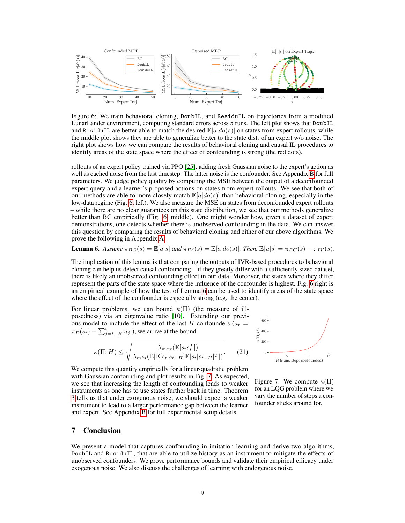

Figure 6: We train behavioral cloning, DoubIL, and ResiduIL on trajectories from a modified LunarLander environment, computing standard errors across 5 runs. The left plot shows that DoubIL and ResiduIL are better able to match the desired  $\mathbb{E}[a|do(s)]$  on states from expert rollouts, while the middle plot shows they are able to generalize better to the state dist. of an expert w/o noise. The right plot shows how we can compare the results of behavioral cloning and causal IL procedures to identify areas of the state space where the effect of confounding is strong (the red dots).

rollouts of an expert policy trained via PPO [\[25\]](#page-10-7), adding fresh Gaussian noise to the expert's action as well as cached noise from the last timestep. The latter noise is the confounder. See Appendix [B](#page-14-0) for full parameters. We judge policy quality by computing the MSE between the output of a deconfounded expert query and a learner's proposed actions on states from expert rollouts. We see that both of our methods are able to more closely match  $\mathbb{E}[a|do(s)]$  than behavioral cloning, especially in the low-data regime (Fig. [6,](#page-8-0) left). We also measure the MSE on states from deconfounded expert rollouts – while there are no clear guarantees on this state distribution, we see that our methods generalize better than BC empirically (Fig. [6,](#page-8-0) middle). One might wonder how, given a dataset of expert demonstrations, one detects whether there is unobserved confounding in the data. We can answer this question by comparing the results of behavioral cloning and either of our above algorithms. We prove the following in Appendix [A:](#page-11-0)

# <span id="page-8-1"></span>**Lemma 6.** Assume  $\pi_{BC}(s) = \mathbb{E}[a|s]$  and  $\pi_{IV}(s) = \mathbb{E}[a|do(s)]$ *. Then,*  $\mathbb{E}[u|s] = \pi_{BC}(s) - \pi_{IV}(s)$ *.*

The implication of this lemma is that comparing the outputs of IVR-based procedures to behavioral cloning can help us detect causal confounding – if they greatly differ with a sufficiently sized dataset, there is likely an unobserved confounding effect in our data. Moreover, the states where they differ represent the parts of the state space where the influence of the confounder is highest. Fig. [6](#page-8-0) right is an empirical example of how the test of Lemma [6](#page-8-1) can be used to identify areas of the state space where the effect of the confounder is especially strong (e.g. the center).

For linear problems, we can bound  $\kappa(\Pi)$  (the measure of illposedness) via an eigenvalue ratio [\[10\]](#page-9-12). Extending our previous model to include the effect of the last H confounders  $(a_t =$  $\pi_E(s_t) + \sum_{j=t-H}^t u_j$ .), we arrive at the bound

$$
\kappa(\Pi; H) \le \sqrt{\frac{\lambda_{max}(\mathbb{E}[s_t s_t^T])}{\lambda_{min}(\mathbb{E}[\mathbb{E}[s_t|s_{t-H}]\mathbb{E}[s_t|s_{t-H}]^T])}}.
$$
(21)

<span id="page-8-3"></span><span id="page-8-0"></span>

We compute this quantity empirically for a linear-quadratic problem with Gaussian confounding and plot results in Fig. [7.](#page-8-2) As expected, we see that increasing the length of confounding leads to weaker instruments as one has to use states further back in time. Theorem [3](#page-6-2) tells us that under exogenous noise, we should expect a weaker instrument to lead to a larger performance gap between the learner and expert. See Appendix [B](#page-14-0) for full experimental setup details.

<span id="page-8-2"></span>Figure 7: We compute  $\kappa(\Pi)$ for an LQG problem where we vary the number of steps a confounder sticks around for.

# 7 Conclusion

We present a model that captures confounding in imitation learning and derive two algorithms, DoubIL and ResiduIL, that are able to utilize history as an instrument to mitigate the effects of unobserved confounders. We prove performance bounds and validate their empirical efficacy under exogenous noise. We also discuss the challenges of learning with endogenous noise.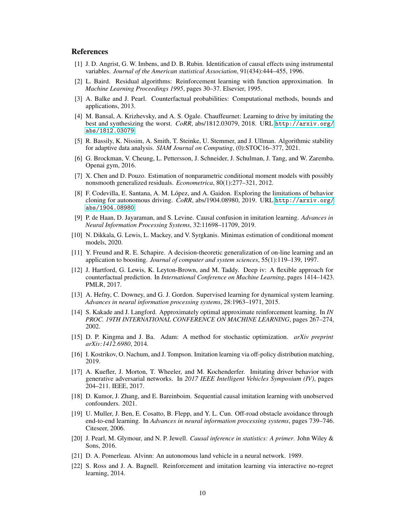# References

- <span id="page-9-5"></span>[1] J. D. Angrist, G. W. Imbens, and D. B. Rubin. Identification of causal effects using instrumental variables. *Journal of the American statistical Association*, 91(434):444–455, 1996.
- <span id="page-9-21"></span>[2] L. Baird. Residual algorithms: Reinforcement learning with function approximation. In *Machine Learning Proceedings 1995*, pages 30–37. Elsevier, 1995.
- <span id="page-9-15"></span>[3] A. Balke and J. Pearl. Counterfactual probabilities: Computational methods, bounds and applications, 2013.
- <span id="page-9-3"></span>[4] M. Bansal, A. Krizhevsky, and A. S. Ogale. Chauffeurnet: Learning to drive by imitating the best and synthesizing the worst. *CoRR*, abs/1812.03079, 2018. URL [http://arxiv.org/](http://arxiv.org/abs/1812.03079) [abs/1812.03079](http://arxiv.org/abs/1812.03079).
- <span id="page-9-17"></span>[5] R. Bassily, K. Nissim, A. Smith, T. Steinke, U. Stemmer, and J. Ullman. Algorithmic stability for adaptive data analysis. *SIAM Journal on Computing*, (0):STOC16–377, 2021.
- <span id="page-9-18"></span>[6] G. Brockman, V. Cheung, L. Pettersson, J. Schneider, J. Schulman, J. Tang, and W. Zaremba. Openai gym, 2016.
- <span id="page-9-14"></span>[7] X. Chen and D. Pouzo. Estimation of nonparametric conditional moment models with possibly nonsmooth generalized residuals. *Econometrica*, 80(1):277–321, 2012.
- <span id="page-9-1"></span>[8] F. Codevilla, E. Santana, A. M. López, and A. Gaidon. Exploring the limitations of behavior cloning for autonomous driving. *CoRR*, abs/1904.08980, 2019. URL [http://arxiv.org/](http://arxiv.org/abs/1904.08980) [abs/1904.08980](http://arxiv.org/abs/1904.08980).
- <span id="page-9-2"></span>[9] P. de Haan, D. Jayaraman, and S. Levine. Causal confusion in imitation learning. *Advances in Neural Information Processing Systems*, 32:11698–11709, 2019.
- <span id="page-9-12"></span>[10] N. Dikkala, G. Lewis, L. Mackey, and V. Syrgkanis. Minimax estimation of conditional moment models, 2020.
- <span id="page-9-16"></span>[11] Y. Freund and R. E. Schapire. A decision-theoretic generalization of on-line learning and an application to boosting. *Journal of computer and system sciences*, 55(1):119–139, 1997.
- <span id="page-9-11"></span>[12] J. Hartford, G. Lewis, K. Leyton-Brown, and M. Taddy. Deep iv: A flexible approach for counterfactual prediction. In *International Conference on Machine Learning*, pages 1414–1423. PMLR, 2017.
- <span id="page-9-6"></span>[13] A. Hefny, C. Downey, and G. J. Gordon. Supervised learning for dynamical system learning. *Advances in neural information processing systems*, 28:1963–1971, 2015.
- <span id="page-9-19"></span>[14] S. Kakade and J. Langford. Approximately optimal approximate reinforcement learning. In *IN PROC. 19TH INTERNATIONAL CONFERENCE ON MACHINE LEARNING*, pages 267–274, 2002.
- <span id="page-9-20"></span>[15] D. P. Kingma and J. Ba. Adam: A method for stochastic optimization. *arXiv preprint arXiv:1412.6980*, 2014.
- <span id="page-9-8"></span>[16] I. Kostrikov, O. Nachum, and J. Tompson. Imitation learning via off-policy distribution matching, 2019.
- <span id="page-9-4"></span>[17] A. Kuefler, J. Morton, T. Wheeler, and M. Kochenderfer. Imitating driver behavior with generative adversarial networks. In *2017 IEEE Intelligent Vehicles Symposium (IV)*, pages 204–211. IEEE, 2017.
- <span id="page-9-10"></span>[18] D. Kumor, J. Zhang, and E. Bareinboim. Sequential causal imitation learning with unobserved confounders. 2021.
- <span id="page-9-0"></span>[19] U. Muller, J. Ben, E. Cosatto, B. Flepp, and Y. L. Cun. Off-road obstacle avoidance through end-to-end learning. In *Advances in neural information processing systems*, pages 739–746. Citeseer, 2006.
- <span id="page-9-13"></span>[20] J. Pearl, M. Glymour, and N. P. Jewell. *Causal inference in statistics: A primer*. John Wiley & Sons, 2016.
- <span id="page-9-7"></span>[21] D. A. Pomerleau. Alvinn: An autonomous land vehicle in a neural network. 1989.
- <span id="page-9-9"></span>[22] S. Ross and J. A. Bagnell. Reinforcement and imitation learning via interactive no-regret learning, 2014.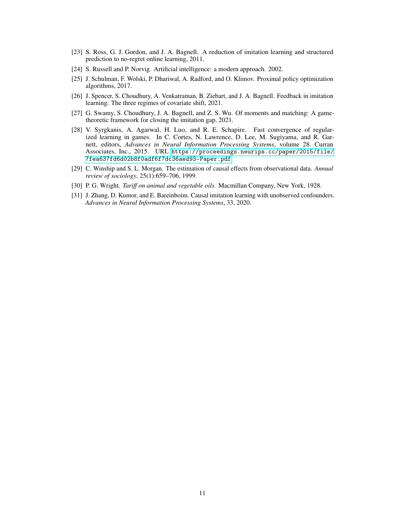- <span id="page-10-0"></span>[23] S. Ross, G. J. Gordon, and J. A. Bagnell. A reduction of imitation learning and structured prediction to no-regret online learning, 2011.
- <span id="page-10-8"></span>[24] S. Russell and P. Norvig. Artificial intelligence: a modern approach. 2002.
- <span id="page-10-7"></span>[25] J. Schulman, F. Wolski, P. Dhariwal, A. Radford, and O. Klimov. Proximal policy optimization algorithms, 2017.
- <span id="page-10-3"></span>[26] J. Spencer, S. Choudhury, A. Venkatraman, B. Ziebart, and J. A. Bagnell. Feedback in imitation learning: The three regimes of covariate shift, 2021.
- <span id="page-10-1"></span>[27] G. Swamy, S. Choudhury, J. A. Bagnell, and Z. S. Wu. Of moments and matching: A gametheoretic framework for closing the imitation gap, 2021.
- <span id="page-10-6"></span>[28] V. Syrgkanis, A. Agarwal, H. Luo, and R. E. Schapire. Fast convergence of regularized learning in games. In C. Cortes, N. Lawrence, D. Lee, M. Sugiyama, and R. Garnett, editors, *Advances in Neural Information Processing Systems*, volume 28. Curran Associates, Inc., 2015. URL [https://proceedings.neurips.cc/paper/2015/file/](https://proceedings.neurips.cc/paper/2015/file/7fea637fd6d02b8f0adf6f7dc36aed93-Paper.pdf) [7fea637fd6d02b8f0adf6f7dc36aed93-Paper.pdf](https://proceedings.neurips.cc/paper/2015/file/7fea637fd6d02b8f0adf6f7dc36aed93-Paper.pdf).
- <span id="page-10-5"></span>[29] C. Winship and S. L. Morgan. The estimation of causal effects from observational data. *Annual review of sociology*, 25(1):659–706, 1999.
- <span id="page-10-4"></span>[30] P. G. Wright. *Tariff on animal and vegetable oils*. Macmillan Company, New York, 1928.
- <span id="page-10-2"></span>[31] J. Zhang, D. Kumor, and E. Bareinboim. Causal imitation learning with unobserved confounders. *Advances in Neural Information Processing Systems*, 33, 2020.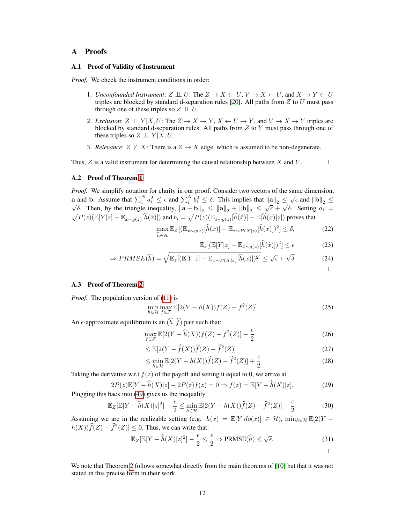# <span id="page-11-0"></span>A Proofs

## A.1 Proof of Validity of Instrument

*Proof.* We check the instrument conditions in order:

- 1. *Unconfounded Instrument*:  $Z \perp\!\!\!\perp U$ : The  $Z \rightarrow X \leftarrow U$ ,  $V \rightarrow X \leftarrow U$ , and  $X \rightarrow Y \leftarrow U$ triples are blocked by standard d-separation rules [\[20\]](#page-9-13). All paths from  $Z$  to  $U$  must pass through one of these triples so  $Z \perp\!\!\!\perp U$ .
- 2. *Exclusion*:  $Z \perp \!\!\!\perp Y | X, U$ : The  $Z \to X \to Y, X \leftarrow U \to Y$ , and  $V \to X \to Y$  triples are blocked by standard d-separation rules. All paths from Z to Y must pass through one of these triples so  $Z \perp\!\!\!\perp Y | X, U$ .
- 3. *Relevance*:  $Z \not\perp X$ : There is a  $Z \rightarrow X$  edge, which is assumed to be non-degenerate.

Thus,  $Z$  is a valid instrument for determining the causal relationship between  $X$  and  $Y$ .

 $\Box$ 

### A.2 Proof of Theorem [1](#page-4-3)

*Proof.* We simplify notation for clarity in our proof. Consider two vectors of the same dimension, **a** and **b**. Assume that  $\sum_{i=1}^{N} a_i^2 \leq \epsilon$  and  $\sum_{i=1}^{N} b_i^2 \leq \delta$ . This implies that  $||a||_2 \leq \sqrt{\epsilon}$  and  $||b||_2 \leq \sqrt{\epsilon}$  $\sqrt{\delta}$ . Then, by the triangle inequality,  $\|\mathbf{a} - \mathbf{b}\|_2 \leq \|\mathbf{a}\|_2 + \|\mathbf{b}\|_2 \leq \sqrt{\epsilon} + \sqrt{\delta}$ . Setting  $a_i =$  $\sqrt{P(z)}(\mathbb{E}[Y|z] - \mathbb{E}_{\hat{x}\sim g(z)}[\hat{h}(\hat{x})])$  and  $b_i = \sqrt{P(z)}(\mathbb{E}_{\hat{x}\sim g(z)}[\hat{h}(\hat{x})] - \mathbb{E}[\hat{h}(x)|z])$  proves that

$$
\max_{\widehat{h}\in\mathcal{H}} \mathbb{E}_Z[(\mathbb{E}_{x\sim g(z)}[\widehat{h}(x)] - \mathbb{E}_{x\sim P(X|z)}[\widehat{h}(x)])^2] \le \delta,\tag{22}
$$

$$
\mathbb{E}_z[(\mathbb{E}[Y|z] - \mathbb{E}_{\hat{x}\sim g(z)}[\hat{h}(\hat{x})])^2] \le \epsilon
$$
 (23)

$$
\Rightarrow PRMSE(\widehat{h}) = \sqrt{\mathbb{E}_{z}[(\mathbb{E}[Y|z] - \mathbb{E}_{x \sim P(X|z)}[\widehat{h}(x)])^{2}]} \leq \sqrt{\epsilon} + \sqrt{\delta}
$$
(24)

### A.3 Proof of Theorem [2](#page-4-4)

*Proof.* The population version of [\(11\)](#page-4-1) is

$$
\min_{h \in \mathcal{H}} \max_{f \in \mathcal{F}} \mathbb{E}[2(Y - h(X))f(Z) - f^2(Z)] \tag{25}
$$

An  $\epsilon$ -approximate equilibrium is an  $(\widehat{h}, \widehat{f})$  pair such that:

$$
\max_{f \in \mathcal{F}} \mathbb{E}[2(Y - \widehat{h}(X))f(Z) - f^2(Z)] - \frac{\epsilon}{2}
$$
\n(26)

$$
\leq \mathbb{E}[2(Y - \hat{f}(X))\hat{f}(Z) - \hat{f}^2(Z)] \tag{27}
$$

$$
\leq \min_{h \in \mathcal{H}} \mathbb{E}[2(Y - h(X))\widehat{f}(Z) - \widehat{f}^2(Z)] + \frac{\epsilon}{2}
$$
\n(28)

Taking the derivative w.r.t  $f(z)$  of the payoff and setting it equal to 0, we arrive at

$$
2P(z)\mathbb{E}[Y - \widehat{h}(X)|z] - 2P(z)f(z) = 0 \Rightarrow f(z) = \mathbb{E}[Y - \widehat{h}(X)|z].\tag{29}
$$

Plugging this back into [\(49\)](#page-13-0) gives us the inequality

$$
\mathbb{E}_Z[\mathbb{E}[Y - \widehat{h}(X)|z]^2] - \frac{\epsilon}{2} \le \min_{h \in \mathcal{H}} \mathbb{E}[2(Y - h(X))\widehat{f}(Z) - \widehat{f}^2(Z)] + \frac{\epsilon}{2}.
$$
 (30)

Assuming we are in the realizable setting (e.g.  $h(x) = \mathbb{E}[Y|do(x)] \in \mathcal{H}$ ),  $\min_{h \in \mathcal{H}} \mathbb{E}[2(Y$  $h(X)\hat{f}(Z) - \hat{f}^2(Z) \leq 0$ . Thus, we can write that:

$$
\mathbb{E}_Z[\mathbb{E}[Y - \widehat{h}(X)|z]^2] - \frac{\epsilon}{2} \le \frac{\epsilon}{2} \Rightarrow \text{PRMSE}(\widehat{h}) \le \sqrt{\epsilon}.
$$
\n(31)

We note that Theorem [2](#page-4-4) follows somewhat directly from the main theorems of [\[10\]](#page-9-12) but that it was not stated in this precise form in their work.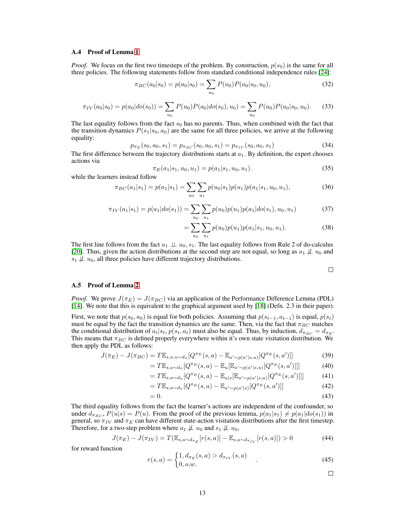#### A.4 Proof of Lemma [1](#page-6-0)

*Proof.* We focus on the first two timesteps of the problem. By construction,  $p(s_0)$  is the same for all three policies. The following statements follow from standard conditional independence rules [\[24\]](#page-10-8):

$$
\pi_{BC}(a_0|s_0) = p(a_0|s_0) = \sum_{u_0} P(u_0)P(a_0|s_0, u_0),\tag{32}
$$

$$
\pi_{IV}(a_0|s_0) = p(a_0|do(s_0)) = \sum_{u_0} P(u_0)P(a_0|do(s_0), u_0) = \sum_{u_0} P(u_0)P(a_0|s_0, u_0).
$$
 (33)

The last equality follows from the fact  $s_0$  has no parents. Thus, when combined with the fact that the transition dynamics  $P(s_1|s_0, a_0)$  are the same for all three policies, we arrive at the following equality:

$$
p_{\pi_E}(s_0, a_0, s_1) = p_{\pi_{BC}}(s_0, a_0, s_1) = p_{\pi_{IV}}(s_0, a_0, s_1)
$$
\n(34)

The first difference between the trajectory distributions starts at  $a_1$ . By definition, the expert chooses actions via

$$
\pi_E(a_1|s_1, u_0, u_1) = p(a_1|s_1, u_0, u_1). \tag{35}
$$

while the learners instead follow

$$
\pi_{BC}(a_1|s_1) = p(a_1|s_1) = \sum_{u_0} \sum_{u_1} p(u_0|s_1) p(u_1) p(a_1|s_1, u_0, u_1), \tag{36}
$$

$$
\pi_{IV}(a_1|s_1) = p(a_1|do(s_1)) = \sum_{u_0} \sum_{u_1} p(u_0)p(u_1)p(a_1|do(s_1), u_0, u_1)
$$
\n(37)

$$
= \sum_{u_0} \sum_{u_1} p(u_0) p(u_1) p(a_1|s_1, u_0, u_1).
$$
 (38)

The first line follows from the fact  $u_1 \perp u_0$ ,  $s_1$ . The last equality follows from Rule 2 of do-calculus [\[20\]](#page-9-13). Thus, given the action distributions at the second step are not equal, so long as  $a_1 \not\perp u_0$  and  $s_1 \not\perp u_0$ , all three policies have different trajectory distributions.

$$
\qquad \qquad \Box
$$

## A.5 Proof of Lemma [2](#page-6-3)

*Proof.* We prove  $J(\pi_E) = J(\pi_{BC})$  via an application of the Performance Difference Lemma (PDL) [\[14\]](#page-9-19). We note that this is equivalent to the graphical argument used by [\[18\]](#page-9-10) (Defn. 2.3 in their paper).

First, we note that  $p(s_0, a_0)$  is equal for both policies. Assuming that  $p(s_{t-1}, a_{t-1})$  is equal,  $p(s_t)$ must be equal by the fact the transition dynamics are the same. Then, via the fact that  $\pi_{BC}$  matches the conditional distribution of  $a_t|s_t$ ,  $p(s_t, a_t)$  must also be equal. Thus, by induction,  $d_{\pi_{BC}} = d_{\pi_E}$ . This means that  $\pi_{BC}$  is defined properly everywhere within it's own state visitation distribution. We then apply the PDL as follows:

$$
J(\pi_E) - J(\pi_{BC}) = T \mathbb{E}_{s,a,u \sim d_{\pi}}[Q^{\pi_E}(s,a) - \mathbb{E}_{a' \sim p(a'|s,u)}[Q^{\pi_E}(s,a')]]
$$
(39)

$$
= T\mathbb{E}_{s,a \sim d_{\pi}}[Q^{\pi_E}(s,a) - \mathbb{E}_u[\mathbb{E}_{a' \sim p(a'|s,u)}[Q^{\pi_E}(s,a')]]]
$$
(40)

$$
= T\mathbb{E}_{s,a \sim d_{\pi}}[Q^{\pi_E}(s,a) - \mathbb{E}_{u|s}[\mathbb{E}_{a' \sim p(a'|s,u)}[Q^{\pi_E}(s,a')]]]
$$
(41)

$$
= T\mathbb{E}_{s,a\sim d_{\pi}}[Q^{\pi_E}(s,a) - \mathbb{E}_{a'\sim p(a'|s)}[Q^{\pi_E}(s,a')]] \tag{42}
$$

$$
=0.\t(43)
$$

The third equality follows from the fact the learner's actions are independent of the confounder, so under  $d_{\pi_{BC}}$ ,  $P(u|s) = P(u)$ . From the proof of the previous lemma,  $p(a_1|s_1) \neq p(a_1|do(s_1))$  in general, so  $\pi_{IV}$  and  $\pi_E$  can have different state-action visitation distributions after the first timestep. Therefore, for a two-step problem where  $a_1 \not\perp u_0$  and  $s_1 \not\perp u_0$ ,

$$
J(\pi_E) - J(\pi_{IV}) = T(\mathbb{E}_{s,a \sim d_{\pi_E}}[r(s,a)] - \mathbb{E}_{s,a \sim d_{\pi_{IV}}}[r(s,a)]) > 0
$$
 (44)

for reward function

$$
r(s,a) = \begin{cases} 1, d_{\pi_E}(s,a) > d_{\pi_{IV}}(s,a) \\ 0, o.w. \end{cases}
$$
 (45)

 $\Box$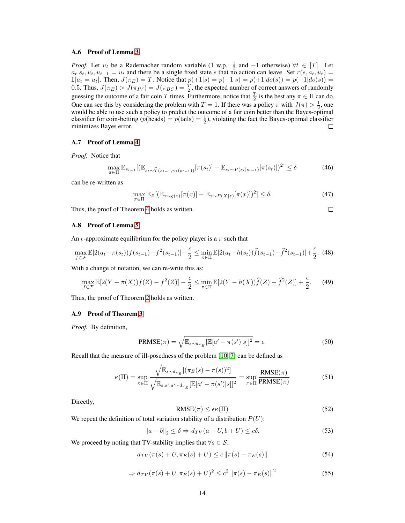#### A.6 Proof of Lemma [3](#page-6-4)

*Proof.* Let  $u_t$  be a Rademacher random variable (1 w.p.  $\frac{1}{2}$  and  $-1$  otherwise)  $\forall t \in [T]$ . Let  $a_t|s_t, u_t, u_{t-1} = u_t$  and there be a single fixed state s that no action can leave. Set  $r(s, a_t, u_t) =$  $1[a_t = u_t]$ . Then,  $J(\pi_E) = T$ . Notice that  $p(+1|s) = p(-1|s) = p(+1|do(s)) = p(-1|do(s)) = T$ . 0.5. Thus,  $J(\pi_E) > J(\pi_{IV}) = J(\pi_{BC}) = \frac{T}{2}$ , the expected number of correct answers of randomly guessing the outcome of a fair coin T times. Furthermore, notice that  $\frac{T}{2}$  is the best any  $\pi \in \Pi$  can do. One can see this by considering the problem with  $T = 1$ . If there was a policy  $\pi$  with  $J(\pi) > \frac{1}{2}$ , one would be able to use such a policy to predict the outcome of a fair coin better than the Bayes-optimal classifier for coin-betting  $(p(\text{heads}) = p(\text{tails}) = \frac{1}{2})$ , violating the fact the Bayes-optimal classifier minimizes Bayes error.  $\Box$ 

## A.7 Proof of Lemma [4](#page-7-2)

*Proof.* Notice that

$$
\max_{\pi \in \Pi} \mathbb{E}_{s_{t-1}}[(\mathbb{E}_{s_t \sim \widehat{\mathcal{T}}(s_{t-1}, \pi_1(s_{t-1}))}[\pi(s_t)] - \mathbb{E}_{s_t \sim P(s_t|s_{t-1})}[\pi(s_t)])^2] \le \delta
$$
\n(46)

can be re-written as

$$
\max_{\pi \in \Pi} \mathbb{E}_Z[(\mathbb{E}_{x \sim g(z)}[\pi(x)] - \mathbb{E}_{x \sim P(X|z)}[\pi(x)])^2] \le \delta. \tag{47}
$$

Thus, the proof of Theorem [4](#page-7-2) holds as written.

 $\Box$ 

## A.8 Proof of Lemma [5](#page-7-3)

An  $\epsilon$ -approximate equilibrium for the policy player is a  $\pi$  such that

$$
\max_{f \in \mathcal{F}} \mathbb{E}[2(a_t - \pi(s_t))f(s_{t-1}) - f^2(s_{t-1})] - \frac{\epsilon}{2} \le \min_{\pi \in \Pi} \mathbb{E}[2(a_t - h(s_t))\hat{f}(s_{t-1}) - \hat{f}^2(s_{t-1})] + \frac{\epsilon}{2}.
$$
 (48)

With a change of notation, we can re-write this as:

$$
\max_{f \in \mathcal{F}} \mathbb{E}[2(Y - \pi(X))f(Z) - f^2(Z)] - \frac{\epsilon}{2} \le \min_{\pi \in \Pi} \mathbb{E}[2(Y - h(X))\hat{f}(Z) - \hat{f}^2(Z)] + \frac{\epsilon}{2}.
$$
 (49)

Thus, the proof of Theorem [2](#page-4-4) holds as written.

#### A.9 Proof of Theorem [3](#page-6-2)

*Proof.* By definition,

<span id="page-13-0"></span>
$$
PRMSE(\pi) = \sqrt{\mathbb{E}_{s \sim d_{\pi_E}}[\mathbb{E}[a' - \pi(s')|s]]^2} = \epsilon.
$$
 (50)

Recall that the measure of ill-posedness of the problem [\[10,](#page-9-12) [7\]](#page-9-14) can be defined as

$$
\kappa(\Pi) = \sup_{\pi \in \Pi} \frac{\sqrt{\mathbb{E}_{s \sim d_{\pi_E}}[(\pi_E(s) - \pi(s))^2]}}{\sqrt{\mathbb{E}_{s, s', a' \sim d_{\pi_E}}[\mathbb{E}[a' - \pi(s')]s]]^2}} = \sup_{\pi \in \Pi} \frac{\text{RMSE}(\pi)}{\text{PRMSE}(\pi)}
$$
(51)

Directly,

$$
RMSE(\pi) \le \epsilon \kappa(\Pi) \tag{52}
$$

We repeat the definition of total variation stability of a distribution  $P(U)$ :

$$
||a - b||_2 \le \delta \Rightarrow d_{TV}(a + U, b + U) \le c\delta.
$$
 (53)

We proceed by noting that TV-stability implies that  $\forall s \in \mathcal{S}$ ,

$$
d_{TV}(\pi(s) + U, \pi_E(s) + U) \le c \|\pi(s) - \pi_E(s)\|
$$
\n(54)

$$
\Rightarrow d_{TV}(\pi(s) + U, \pi_E(s) + U)^2 \le c^2 \|\pi(s) - \pi_E(s)\|^2 \tag{55}
$$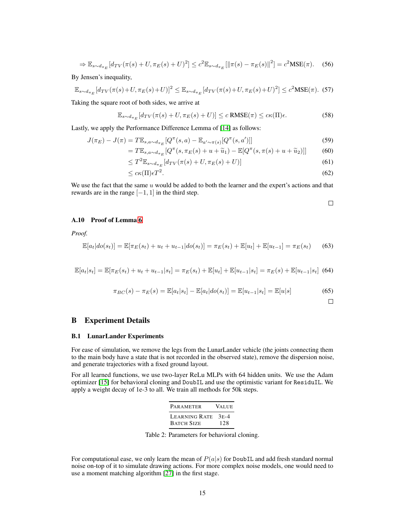$$
\Rightarrow \mathbb{E}_{s \sim d_{\pi_E}}[d_{TV}(\pi(s) + U, \pi_E(s) + U)^2] \le c^2 \mathbb{E}_{s \sim d_{\pi_E}}[\|\pi(s) - \pi_E(s)\|^2] = c^2 \text{MSE}(\pi). \tag{56}
$$

By Jensen's inequality,

$$
\mathbb{E}_{s \sim d_{\pi_E}}[d_{TV}(\pi(s) + U, \pi_E(s) + U)]^2 \le \mathbb{E}_{s \sim d_{\pi_E}}[d_{TV}(\pi(s) + U, \pi_E(s) + U)^2] \le c^2 \text{MSE}(\pi). \tag{57}
$$

Taking the square root of both sides, we arrive at

$$
\mathbb{E}_{s \sim d_{\pi_E}}[d_{TV}(\pi(s) + U, \pi_E(s) + U)] \le c \text{ RMSE}(\pi) \le c\kappa(\Pi)\epsilon. \tag{58}
$$

Lastly, we apply the Performance Difference Lemma of [\[14\]](#page-9-19) as follows:

$$
J(\pi_E) - J(\pi) = T \mathbb{E}_{s, a \sim d_{\pi_E}}[Q^{\pi}(s, a) - \mathbb{E}_{a' \sim \pi(s)}[Q^{\pi}(s, a')]]
$$
\n(59)

$$
= T\mathbb{E}_{s,a\sim d_{\pi_E}}[Q^{\pi}(s,\pi_E(s) + u + \widetilde{u}_1) - \mathbb{E}[Q^{\pi}(s,\pi(s) + u + \widetilde{u}_2)]] \tag{60}
$$

$$
\leq T^{2} \mathbb{E}_{s \sim d_{\pi_E}}[d_{TV}(\pi(s) + U, \pi_E(s) + U)] \tag{61}
$$

$$
\leq c\kappa(\Pi)\epsilon T^2. \tag{62}
$$

We use the fact that the same  $u$  would be added to both the learner and the expert's actions and that rewards are in the range  $[-1, 1]$  in the third step.

$$
\qquad \qquad \Box
$$

# A.10 Proof of Lemma [6](#page-8-1)

*Proof.*

$$
\mathbb{E}[a_t|do(s_t)] = \mathbb{E}[\pi_E(s_t) + u_t + u_{t-1}|do(s_t)] = \pi_E(s_t) + \mathbb{E}[u_t] + \mathbb{E}[u_{t-1}] = \pi_E(s_t)
$$
(63)

$$
\mathbb{E}[a_t|s_t] = \mathbb{E}[\pi_E(s_t) + u_t + u_{t-1}|s_t] = \pi_E(s_t) + \mathbb{E}[u_t] + \mathbb{E}[u_{t-1}|s_t] = \pi_E(s) + \mathbb{E}[u_{t-1}|s_t]
$$
(64)

$$
\pi_{BC}(s) - \pi_E(s) = \mathbb{E}[a_t|s_t] - \mathbb{E}[a_t|do(s_t)] = \mathbb{E}[u_{t-1}|s_t] = \mathbb{E}[u|s]
$$
(65)

 $\Box$ 

# <span id="page-14-0"></span>B Experiment Details

## B.1 LunarLander Experiments

For ease of simulation, we remove the legs from the LunarLander vehicle (the joints connecting them to the main body have a state that is not recorded in the observed state), remove the dispersion noise, and generate trajectories with a fixed ground layout.

For all learned functions, we use two-layer ReLu MLPs with 64 hidden units. We use the Adam optimizer [\[15\]](#page-9-20) for behavioral cloning and DoubIL and use the optimistic variant for ResiduIL. We apply a weight decay of 1e-3 to all. We train all methods for 50k steps.

| PARAMETER                               | <b>VALUE</b> |
|-----------------------------------------|--------------|
| LEARNING RATE 3E-4<br><b>BATCH SIZE</b> | 12.8         |

Table 2: Parameters for behavioral cloning.

For computational ease, we only learn the mean of  $P(a|s)$  for DoubIL and add fresh standard normal noise on-top of it to simulate drawing actions. For more complex noise models, one would need to use a moment matching algorithm [\[27\]](#page-10-1) in the first stage.